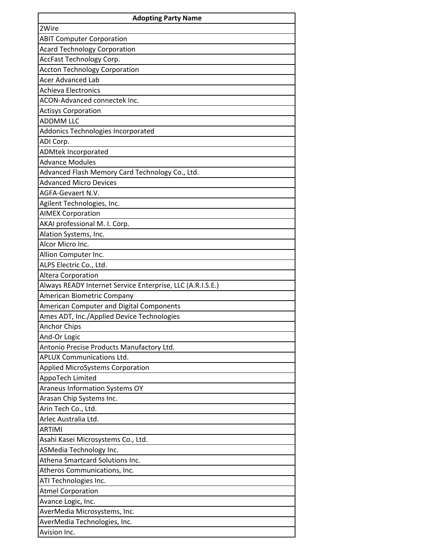| <b>Adopting Party Name</b>                                 |
|------------------------------------------------------------|
| 2Wire                                                      |
| <b>ABIT Computer Corporation</b>                           |
| <b>Acard Technology Corporation</b>                        |
| AccFast Technology Corp.                                   |
| <b>Accton Technology Corporation</b>                       |
| <b>Acer Advanced Lab</b>                                   |
| <b>Achieva Electronics</b>                                 |
| ACON-Advanced connectek Inc.                               |
| <b>Actisys Corporation</b>                                 |
| <b>ADDMM LLC</b>                                           |
| Addonics Technologies Incorporated                         |
| ADI Corp.                                                  |
| <b>ADMtek Incorporated</b>                                 |
| <b>Advance Modules</b>                                     |
| Advanced Flash Memory Card Technology Co., Ltd.            |
| <b>Advanced Micro Devices</b>                              |
| AGFA-Gevaert N.V.                                          |
| Agilent Technologies, Inc.                                 |
| <b>AIMEX Corporation</b>                                   |
| AKAI professional M. I. Corp.                              |
| Alation Systems, Inc.                                      |
| Alcor Micro Inc.                                           |
| Allion Computer Inc.                                       |
| ALPS Electric Co., Ltd.                                    |
| Altera Corporation                                         |
| Always READY Internet Service Enterprise, LLC (A.R.I.S.E.) |
| American Biometric Company                                 |
| American Computer and Digital Components                   |
| Ames ADT, Inc./Applied Device Technologies                 |
| <b>Anchor Chips</b>                                        |
| And-Or Logic                                               |
| Antonio Precise Products Manufactory Ltd.                  |
| <b>APLUX Communications Ltd.</b>                           |
| <b>Applied MicroSystems Corporation</b>                    |
| AppoTech Limited                                           |
| Araneus Information Systems OY                             |
| Arasan Chip Systems Inc.                                   |
| Arin Tech Co., Ltd.                                        |
| Arlec Australia Ltd.                                       |
| <b>ARTIMI</b>                                              |
| Asahi Kasei Microsystems Co., Ltd.                         |
| ASMedia Technology Inc.                                    |
| Athena Smartcard Solutions Inc.                            |
| Atheros Communications, Inc.                               |
| ATI Technologies Inc.                                      |
| <b>Atmel Corporation</b>                                   |
| Avance Logic, Inc.                                         |
| AverMedia Microsystems, Inc.                               |
| AverMedia Technologies, Inc.                               |
| Avision Inc.                                               |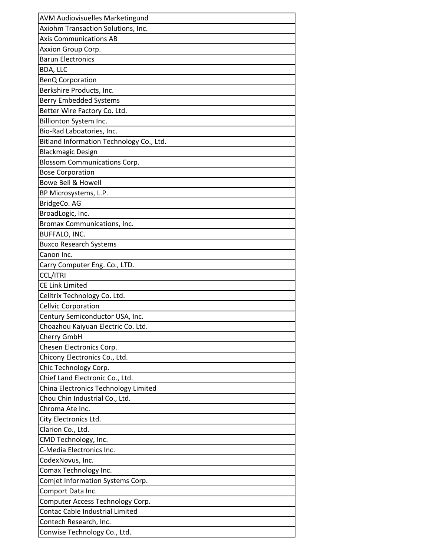| <b>AVM Audiovisuelles Marketingund</b>   |
|------------------------------------------|
| Axiohm Transaction Solutions, Inc.       |
| <b>Axis Communications AB</b>            |
| Axxion Group Corp.                       |
| <b>Barun Electronics</b>                 |
| BDA, LLC                                 |
| <b>BenQ Corporation</b>                  |
| Berkshire Products, Inc.                 |
| <b>Berry Embedded Systems</b>            |
| Better Wire Factory Co. Ltd.             |
| Billionton System Inc.                   |
| Bio-Rad Laboatories, Inc.                |
| Bitland Information Technology Co., Ltd. |
| <b>Blackmagic Design</b>                 |
| <b>Blossom Communications Corp.</b>      |
| <b>Bose Corporation</b>                  |
| <b>Bowe Bell &amp; Howell</b>            |
| BP Microsystems, L.P.                    |
| BridgeCo. AG                             |
| BroadLogic, Inc.                         |
| Bromax Communications, Inc.              |
| BUFFALO, INC.                            |
| <b>Buxco Research Systems</b>            |
| Canon Inc.                               |
| Carry Computer Eng. Co., LTD.            |
| <b>CCL/ITRI</b>                          |
| <b>CE Link Limited</b>                   |
| Celltrix Technology Co. Ltd.             |
| <b>Cellvic Corporation</b>               |
| Century Semiconductor USA, Inc.          |
| Choazhou Kaiyuan Electric Co. Ltd.       |
| Cherry GmbH                              |
| Chesen Electronics Corp.                 |
| Chicony Electronics Co., Ltd.            |
| Chic Technology Corp.                    |
| Chief Land Electronic Co., Ltd.          |
| China Electronics Technology Limited     |
| Chou Chin Industrial Co., Ltd.           |
| Chroma Ate Inc.                          |
| City Electronics Ltd.                    |
| Clarion Co., Ltd.                        |
| CMD Technology, Inc.                     |
| C-Media Electronics Inc.                 |
| CodexNovus, Inc.                         |
| Comax Technology Inc.                    |
| Comjet Information Systems Corp.         |
| Comport Data Inc.                        |
| Computer Access Technology Corp.         |
| Contac Cable Industrial Limited          |
| Contech Research, Inc.                   |
| Conwise Technology Co., Ltd.             |
|                                          |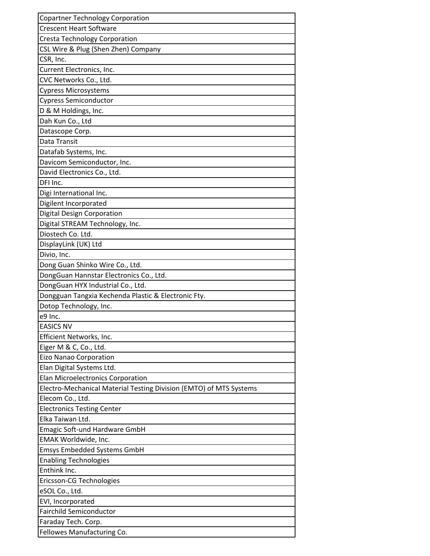| <b>Copartner Technology Corporation</b>                            |
|--------------------------------------------------------------------|
| <b>Crescent Heart Software</b>                                     |
| <b>Cresta Technology Corporation</b>                               |
| CSL Wire & Plug (Shen Zhen) Company                                |
| CSR, Inc.                                                          |
| Current Electronics, Inc.                                          |
| CVC Networks Co., Ltd.                                             |
| <b>Cypress Microsystems</b>                                        |
| <b>Cypress Semiconductor</b>                                       |
| D & M Holdings, Inc.                                               |
| Dah Kun Co., Ltd                                                   |
| Datascope Corp.                                                    |
| Data Transit                                                       |
| Datafab Systems, Inc.                                              |
| Davicom Semiconductor, Inc.                                        |
| David Electronics Co., Ltd.                                        |
| DFI Inc.                                                           |
| Digi International Inc.                                            |
| Digilent Incorporated                                              |
| Digital Design Corporation                                         |
| Digital STREAM Technology, Inc.                                    |
| Diostech Co. Ltd.                                                  |
| DisplayLink (UK) Ltd                                               |
| Divio, Inc.                                                        |
| Dong Guan Shinko Wire Co., Ltd.                                    |
| DongGuan Hannstar Electronics Co., Ltd.                            |
| DongGuan HYX Industrial Co., Ltd.                                  |
| Dongguan Tangxia Kechenda Plastic & Electronic Fty.                |
| Dotop Technology, Inc.                                             |
| e9 Inc.                                                            |
| EASICS NV                                                          |
| Efficient Networks, Inc.                                           |
| Eiger M & C, Co., Ltd.                                             |
| <b>Eizo Nanao Corporation</b>                                      |
| Elan Digital Systems Ltd.                                          |
| Elan Microelectronics Corporation                                  |
| Electro-Mechanical Material Testing Division (EMTO) of MTS Systems |
| Elecom Co., Ltd.                                                   |
| <b>Electronics Testing Center</b>                                  |
| Elka Taiwan Ltd.                                                   |
| Emagic Soft-und Hardware GmbH                                      |
| EMAK Worldwide, Inc.                                               |
| <b>Emsys Embedded Systems GmbH</b>                                 |
|                                                                    |
| <b>Enabling Technologies</b><br>Enthink Inc.                       |
|                                                                    |
| Ericsson-CG Technologies                                           |
| eSOL Co., Ltd.                                                     |
| EVI, Incorporated                                                  |
| <b>Fairchild Semiconductor</b>                                     |
| Faraday Tech. Corp.                                                |
| Fellowes Manufacturing Co.                                         |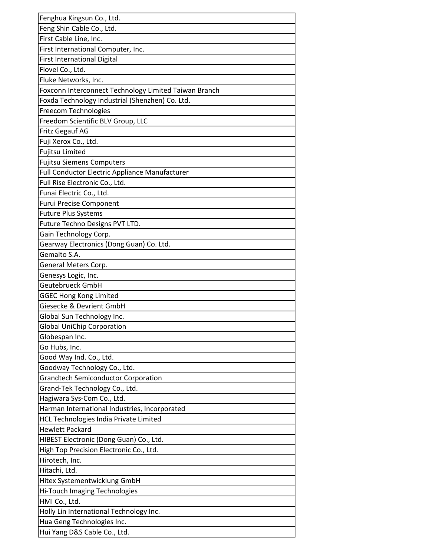| Fenghua Kingsun Co., Ltd.                             |
|-------------------------------------------------------|
| Feng Shin Cable Co., Ltd.                             |
| First Cable Line, Inc.                                |
| First International Computer, Inc.                    |
| <b>First International Digital</b>                    |
| Flovel Co., Ltd.                                      |
| Fluke Networks, Inc.                                  |
| Foxconn Interconnect Technology Limited Taiwan Branch |
| Foxda Technology Industrial (Shenzhen) Co. Ltd.       |
| Freecom Technologies                                  |
| Freedom Scientific BLV Group, LLC                     |
| Fritz Gegauf AG                                       |
| Fuji Xerox Co., Ltd.                                  |
| Fujitsu Limited                                       |
| <b>Fujitsu Siemens Computers</b>                      |
| Full Conductor Electric Appliance Manufacturer        |
| Full Rise Electronic Co., Ltd.                        |
| Funai Electric Co., Ltd.                              |
| <b>Furui Precise Component</b>                        |
| <b>Future Plus Systems</b>                            |
| Future Techno Designs PVT LTD.                        |
| Gain Technology Corp.                                 |
| Gearway Electronics (Dong Guan) Co. Ltd.              |
| Gemalto S.A.                                          |
| General Meters Corp.                                  |
| Genesys Logic, Inc.                                   |
| <b>Geutebrueck GmbH</b>                               |
| <b>GGEC Hong Kong Limited</b>                         |
| Giesecke & Devrient GmbH                              |
| Global Sun Technology Inc.                            |
| Global UniChip Corporation                            |
| Globespan Inc.                                        |
| Go Hubs, Inc.                                         |
| Good Way Ind. Co., Ltd.                               |
| Goodway Technology Co., Ltd.                          |
| <b>Grandtech Semiconductor Corporation</b>            |
| Grand-Tek Technology Co., Ltd.                        |
| Hagiwara Sys-Com Co., Ltd.                            |
| Harman International Industries, Incorporated         |
| <b>HCL Technologies India Private Limited</b>         |
| <b>Hewlett Packard</b>                                |
| HIBEST Electronic (Dong Guan) Co., Ltd.               |
| High Top Precision Electronic Co., Ltd.               |
| Hirotech, Inc.                                        |
| Hitachi, Ltd.                                         |
| Hitex Systementwicklung GmbH                          |
| Hi-Touch Imaging Technologies                         |
| HMI Co., Ltd.                                         |
| Holly Lin International Technology Inc.               |
| Hua Geng Technologies Inc.                            |
| Hui Yang D&S Cable Co., Ltd.                          |
|                                                       |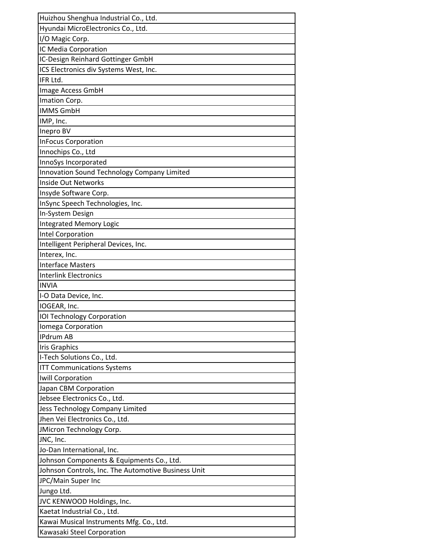| Huizhou Shenghua Industrial Co., Ltd.               |
|-----------------------------------------------------|
| Hyundai MicroElectronics Co., Ltd.                  |
| I/O Magic Corp.                                     |
| IC Media Corporation                                |
| IC-Design Reinhard Gottinger GmbH                   |
| ICS Electronics div Systems West, Inc.              |
| IFR Ltd.                                            |
| Image Access GmbH                                   |
| Imation Corp.                                       |
| <b>IMMS GmbH</b>                                    |
| IMP, Inc.                                           |
| Inepro BV                                           |
| <b>InFocus Corporation</b>                          |
| Innochips Co., Ltd                                  |
| InnoSys Incorporated                                |
| Innovation Sound Technology Company Limited         |
| <b>Inside Out Networks</b>                          |
| Insyde Software Corp.                               |
| InSync Speech Technologies, Inc.                    |
| In-System Design                                    |
| <b>Integrated Memory Logic</b>                      |
| Intel Corporation                                   |
| Intelligent Peripheral Devices, Inc.                |
| Interex, Inc.                                       |
| <b>Interface Masters</b>                            |
| <b>Interlink Electronics</b>                        |
| <b>INVIA</b>                                        |
| I-O Data Device, Inc.                               |
| IOGEAR, Inc.                                        |
| <b>IOI Technology Corporation</b>                   |
| Iomega Corporation                                  |
| <b>IPdrum AB</b>                                    |
| <b>Iris Graphics</b>                                |
| I-Tech Solutions Co., Ltd.                          |
| <b>ITT Communications Systems</b>                   |
| Iwill Corporation                                   |
| Japan CBM Corporation                               |
| Jebsee Electronics Co., Ltd.                        |
| Jess Technology Company Limited                     |
| Jhen Vei Electronics Co., Ltd.                      |
| JMicron Technology Corp.                            |
| JNC, Inc.                                           |
| Jo-Dan International, Inc.                          |
| Johnson Components & Equipments Co., Ltd.           |
| Johnson Controls, Inc. The Automotive Business Unit |
| JPC/Main Super Inc                                  |
| Jungo Ltd.                                          |
| JVC KENWOOD Holdings, Inc.                          |
| Kaetat Industrial Co., Ltd.                         |
| Kawai Musical Instruments Mfg. Co., Ltd.            |
| Kawasaki Steel Corporation                          |
|                                                     |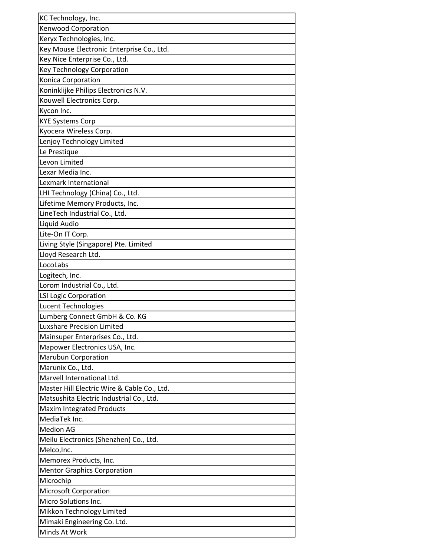| KC Technology, Inc.                         |
|---------------------------------------------|
| <b>Kenwood Corporation</b>                  |
| Keryx Technologies, Inc.                    |
| Key Mouse Electronic Enterprise Co., Ltd.   |
| Key Nice Enterprise Co., Ltd.               |
| <b>Key Technology Corporation</b>           |
| Konica Corporation                          |
| Koninklijke Philips Electronics N.V.        |
| Kouwell Electronics Corp.                   |
| Kycon Inc.                                  |
| <b>KYE Systems Corp</b>                     |
| Kyocera Wireless Corp.                      |
| Lenjoy Technology Limited                   |
| Le Prestique                                |
| Levon Limited                               |
| Lexar Media Inc.                            |
| Lexmark International                       |
| LHI Technology (China) Co., Ltd.            |
| Lifetime Memory Products, Inc.              |
| LineTech Industrial Co., Ltd.               |
| Liquid Audio                                |
| Lite-On IT Corp.                            |
| Living Style (Singapore) Pte. Limited       |
| Lloyd Research Ltd.                         |
| LocoLabs                                    |
| Logitech, Inc.                              |
| Lorom Industrial Co., Ltd.                  |
| <b>LSI Logic Corporation</b>                |
| Lucent Technologies                         |
| Lumberg Connect GmbH & Co. KG               |
| Luxshare Precision Limited                  |
| Mainsuper Enterprises Co., Ltd.             |
| Mapower Electronics USA, Inc.               |
| Marubun Corporation                         |
| Marunix Co., Ltd.                           |
| Marvell International Ltd.                  |
| Master Hill Electric Wire & Cable Co., Ltd. |
| Matsushita Electric Industrial Co., Ltd.    |
| <b>Maxim Integrated Products</b>            |
| MediaTek Inc.                               |
| <b>Medion AG</b>                            |
| Meilu Electronics (Shenzhen) Co., Ltd.      |
| Melco, Inc.                                 |
| Memorex Products, Inc.                      |
| <b>Mentor Graphics Corporation</b>          |
| Microchip                                   |
| <b>Microsoft Corporation</b>                |
| Micro Solutions Inc.                        |
| Mikkon Technology Limited                   |
| Mimaki Engineering Co. Ltd.                 |
| Minds At Work                               |
|                                             |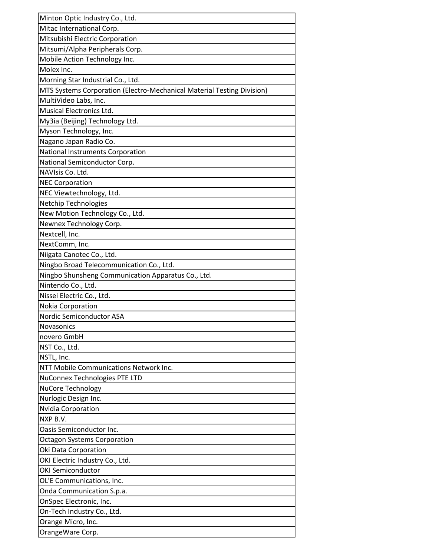| Minton Optic Industry Co., Ltd.                                        |
|------------------------------------------------------------------------|
| Mitac International Corp.                                              |
| Mitsubishi Electric Corporation                                        |
| Mitsumi/Alpha Peripherals Corp.                                        |
| Mobile Action Technology Inc.                                          |
| Molex Inc.                                                             |
| Morning Star Industrial Co., Ltd.                                      |
| MTS Systems Corporation (Electro-Mechanical Material Testing Division) |
| MultiVideo Labs, Inc.                                                  |
| Musical Electronics Ltd.                                               |
| My3ia (Beijing) Technology Ltd.                                        |
| Myson Technology, Inc.                                                 |
| Nagano Japan Radio Co.                                                 |
| National Instruments Corporation                                       |
| National Semiconductor Corp.                                           |
| NAVIsis Co. Ltd.                                                       |
| <b>NEC Corporation</b>                                                 |
| NEC Viewtechnology, Ltd.                                               |
| <b>Netchip Technologies</b>                                            |
| New Motion Technology Co., Ltd.                                        |
| Newnex Technology Corp.                                                |
| Nextcell, Inc.                                                         |
| NextComm, Inc.                                                         |
| Niigata Canotec Co., Ltd.                                              |
| Ningbo Broad Telecommunication Co., Ltd.                               |
| Ningbo Shunsheng Communication Apparatus Co., Ltd.                     |
| Nintendo Co., Ltd.                                                     |
| Nissei Electric Co., Ltd.                                              |
| Nokia Corporation                                                      |
| Nordic Semiconductor ASA                                               |
| <b>Novasonics</b>                                                      |
| novero GmbH                                                            |
| NST Co., Ltd.                                                          |
| NSTL, Inc.                                                             |
| NTT Mobile Communications Network Inc.                                 |
| NuConnex Technologies PTE LTD                                          |
| NuCore Technology                                                      |
| Nurlogic Design Inc.                                                   |
| Nvidia Corporation                                                     |
| NXP B.V.                                                               |
| Oasis Semiconductor Inc.                                               |
| <b>Octagon Systems Corporation</b>                                     |
| Oki Data Corporation                                                   |
| OKI Electric Industry Co., Ltd.                                        |
| <b>OKI Semiconductor</b>                                               |
| OL'E Communications, Inc.                                              |
| Onda Communication S.p.a.                                              |
| OnSpec Electronic, Inc.                                                |
| On-Tech Industry Co., Ltd.                                             |
| Orange Micro, Inc.                                                     |
| OrangeWare Corp.                                                       |
|                                                                        |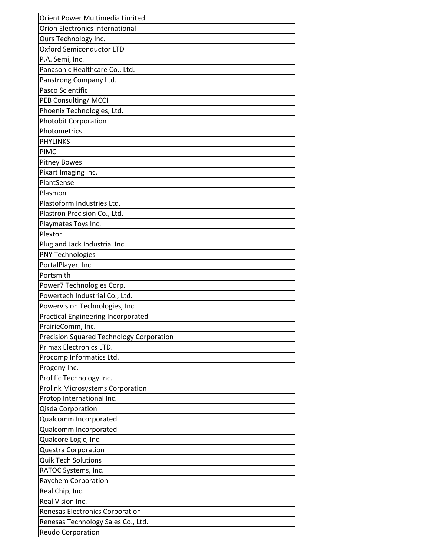| Orient Power Multimedia Limited           |
|-------------------------------------------|
| <b>Orion Electronics International</b>    |
| Ours Technology Inc.                      |
| <b>Oxford Semiconductor LTD</b>           |
| P.A. Semi, Inc.                           |
| Panasonic Healthcare Co., Ltd.            |
| Panstrong Company Ltd.                    |
| Pasco Scientific                          |
| <b>PEB Consulting/MCCI</b>                |
| Phoenix Technologies, Ltd.                |
| <b>Photobit Corporation</b>               |
| Photometrics                              |
| <b>PHYLINKS</b>                           |
| <b>PIMC</b>                               |
| <b>Pitney Bowes</b>                       |
| Pixart Imaging Inc.                       |
| PlantSense                                |
| Plasmon                                   |
| Plastoform Industries Ltd.                |
| Plastron Precision Co., Ltd.              |
| Playmates Toys Inc.                       |
| Plextor                                   |
| Plug and Jack Industrial Inc.             |
| <b>PNY Technologies</b>                   |
| PortalPlayer, Inc.                        |
| Portsmith                                 |
| Power7 Technologies Corp.                 |
| Powertech Industrial Co., Ltd.            |
| Powervision Technologies, Inc.            |
| <b>Practical Engineering Incorporated</b> |
| PrairieComm, Inc.                         |
| Precision Squared Technology Corporation  |
| <b>Primax Electronics LTD.</b>            |
| Procomp Informatics Ltd.                  |
| Progeny Inc.                              |
| Prolific Technology Inc.                  |
| <b>Prolink Microsystems Corporation</b>   |
| Protop International Inc.                 |
| Qisda Corporation                         |
| Qualcomm Incorporated                     |
| Qualcomm Incorporated                     |
| Qualcore Logic, Inc.                      |
| <b>Questra Corporation</b>                |
| <b>Quik Tech Solutions</b>                |
| RATOC Systems, Inc.                       |
| Raychem Corporation                       |
| Real Chip, Inc.                           |
| Real Vision Inc.                          |
| <b>Renesas Electronics Corporation</b>    |
| Renesas Technology Sales Co., Ltd.        |
| Reudo Corporation                         |
|                                           |